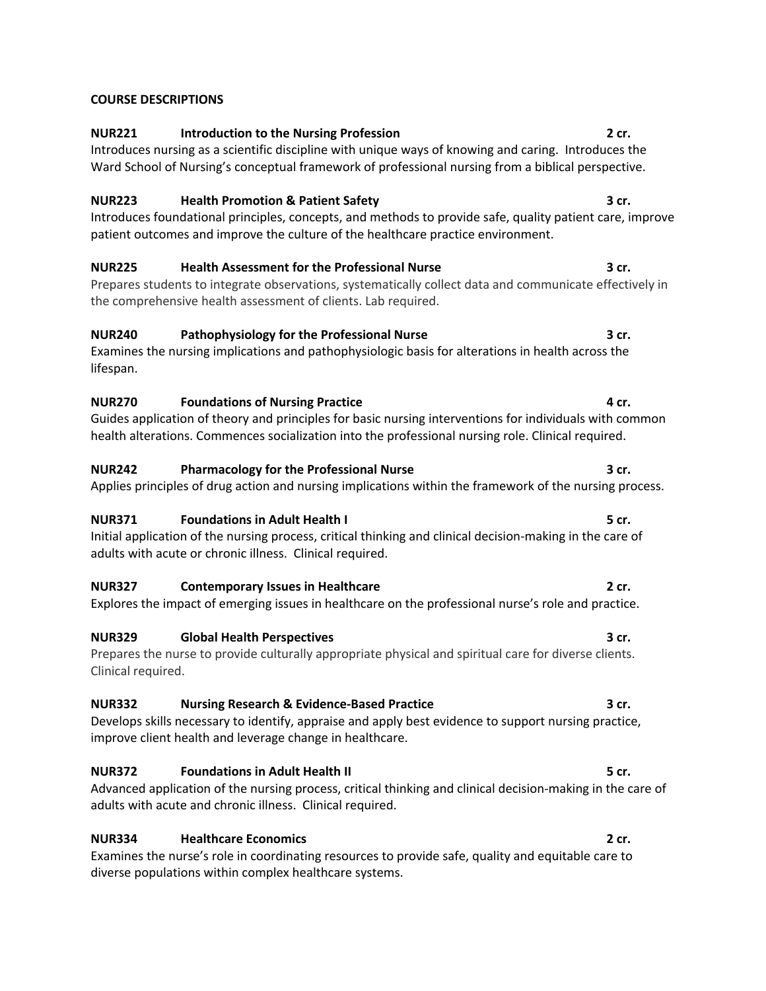### **COURSE DESCRIPTIONS**

## **NUR221 Introduction to the Nursing Profession 2 cr.**

Introduces nursing as a scientific discipline with unique ways of knowing and caring. Introduces the Ward School of Nursing's conceptual framework of professional nursing from a biblical perspective.

### **NUR223 Health Promotion & Patient Safety 3 cr.**

Introduces foundational principles, concepts, and methods to provide safe, quality patient care, improve patient outcomes and improve the culture of the healthcare practice environment.

### **NUR225 Health Assessment for the Professional Nurse 3 cr.**

Prepares students to integrate observations, systematically collect data and communicate effectively in the comprehensive health assessment of clients. Lab required.

## **NUR240 Pathophysiology for the Professional Nurse 3 cr.**

Examines the nursing implications and pathophysiologic basis for alterations in health across the lifespan.

### **NUR270 Foundations of Nursing Practice 4 cr. A cr. 4 cr. 4** cr.

Guides application of theory and principles for basic nursing interventions for individuals with common health alterations. Commences socialization into the professional nursing role. Clinical required.

### **NUR242 Pharmacology for the Professional Nurse 3 cr.**

Applies principles of drug action and nursing implications within the framework of the nursing process.

### **NUR371 Foundations in Adult Health I 5 cr.**

Initial application of the nursing process, critical thinking and clinical decision-making in the care of adults with acute or chronic illness. Clinical required.

### **NUR327 Contemporary Issues in Healthcare 2 cr.**

# Explores the impact of emerging issues in healthcare on the professional nurse's role and practice.

**NUR329 Global Health Perspectives 3 cr.** Prepares the nurse to provide culturally appropriate physical and spiritual care for diverse clients. Clinical required.

# **NUR332 Nursing Research & Evidence-Based Practice 3 cr.**

Develops skills necessary to identify, appraise and apply best evidence to support nursing practice, improve client health and leverage change in healthcare.

# **NUR372 Foundations in Adult Health II 5 cr.**

Advanced application of the nursing process, critical thinking and clinical decision-making in the care of adults with acute and chronic illness. Clinical required.

# **NUR334 Healthcare Economics 2 cr.**

Examines the nurse's role in coordinating resources to provide safe, quality and equitable care to diverse populations within complex healthcare systems.